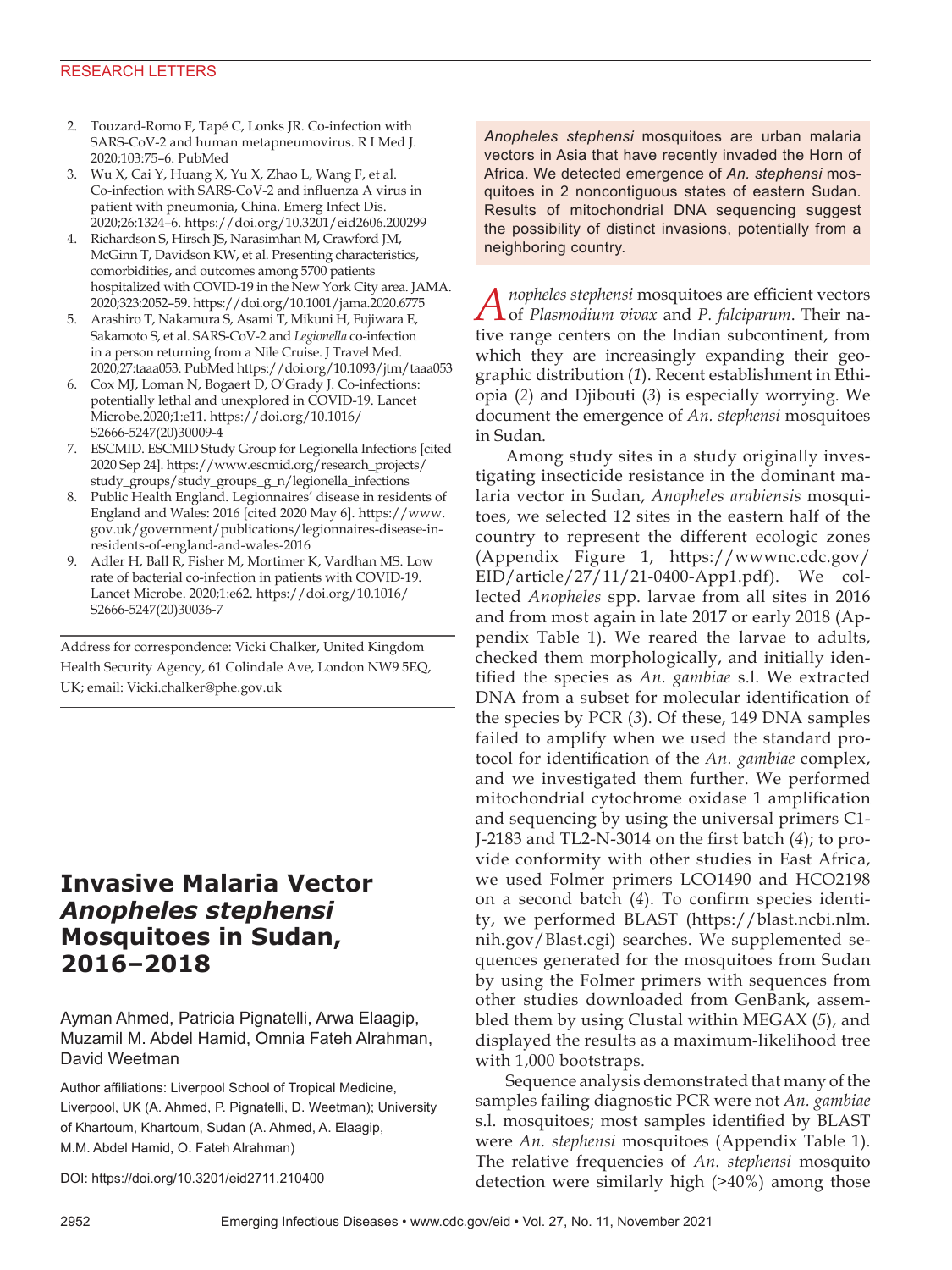### RESEARCH LETTERS

- 2. Touzard-Romo F, Tapé C, Lonks JR. Co-infection with SARS-CoV-2 and human metapneumovirus. R I Med J. 2020;103:75–6. PubMed
- 3. Wu X, Cai Y, Huang X, Yu X, Zhao L, Wang F, et al. Co-infection with SARS-CoV-2 and influenza A virus in patient with pneumonia, China. Emerg Infect Dis. 2020;26:1324–6. https://doi.org/10.3201/eid2606.200299
- 4. Richardson S, Hirsch JS, Narasimhan M, Crawford JM, McGinn T, Davidson KW, et al. Presenting characteristics, comorbidities, and outcomes among 5700 patients hospitalized with COVID-19 in the New York City area. JAMA. 2020;323:2052–59. https://doi.org/10.1001/jama.2020.6775
- 5. Arashiro T, Nakamura S, Asami T, Mikuni H, Fujiwara E, Sakamoto S, et al. SARS-CoV-2 and *Legionella* co-infection in a person returning from a Nile Cruise. J Travel Med. 2020;27:taaa053. PubMed https://doi.org/10.1093/jtm/taaa053
- 6. Cox MJ, Loman N, Bogaert D, O'Grady J. Co-infections: potentially lethal and unexplored in COVID-19. Lancet Microbe.2020;1:e11. https://doi.org/10.1016/ S2666-5247(20)30009-4
- 7. ESCMID. ESCMID Study Group for Legionella Infections [cited 2020 Sep 24]. https://www.escmid.org/research\_projects/ study\_groups/study\_groups\_g\_n/legionella\_infections
- 8. Public Health England. Legionnaires' disease in residents of England and Wales: 2016 [cited 2020 May 6]. https://www. gov.uk/government/publications/legionnaires-disease-inresidents-of-england-and-wales-2016
- 9. Adler H, Ball R, Fisher M, Mortimer K, Vardhan MS. Low rate of bacterial co-infection in patients with COVID-19. Lancet Microbe. 2020;1:e62. https://doi.org/10.1016/ S2666-5247(20)30036-7

Address for correspondence: Vicki Chalker, United Kingdom Health Security Agency, 61 Colindale Ave, London NW9 5EQ, UK; email: Vicki.chalker@phe.gov.uk

# **Invasive Malaria Vector**  *Anopheles stephensi* **Mosquitoes in Sudan, 2016–2018**

Ayman Ahmed, Patricia Pignatelli, Arwa Elaagip, Muzamil M. Abdel Hamid, Omnia Fateh Alrahman, David Weetman

Author affiliations: Liverpool School of Tropical Medicine, Liverpool, UK (A. Ahmed, P. Pignatelli, D. Weetman); University of Khartoum, Khartoum, Sudan (A. Ahmed, A. Elaagip, M.M. Abdel Hamid, O. Fateh Alrahman)

DOI: https://doi.org/10.3201/eid2711.210400

*Anopheles stephensi* mosquitoes are urban malaria vectors in Asia that have recently invaded the Horn of Africa. We detected emergence of *An. stephensi* mosquitoes in 2 noncontiguous states of eastern Sudan. Results of mitochondrial DNA sequencing suggest the possibility of distinct invasions, potentially from a neighboring country.

*Anopheles stephensi* mosquitoes are efficient vectors of *Plasmodium vivax* and *P. falciparum*. Their native range centers on the Indian subcontinent, from which they are increasingly expanding their geographic distribution (*1*). Recent establishment in Ethiopia (*2*) and Djibouti (*3*) is especially worrying. We document the emergence of *An. stephensi* mosquitoes in Sudan.

Among study sites in a study originally investigating insecticide resistance in the dominant malaria vector in Sudan, *Anopheles arabiensis* mosquitoes, we selected 12 sites in the eastern half of the country to represent the different ecologic zones (Appendix Figure 1, https://wwwnc.cdc.gov/ EID/article/27/11/21-0400-App1.pdf). We collected *Anopheles* spp. larvae from all sites in 2016 and from most again in late 2017 or early 2018 (Appendix Table 1). We reared the larvae to adults, checked them morphologically, and initially identified the species as *An. gambiae* s.l. We extracted DNA from a subset for molecular identification of the species by PCR (*3*). Of these, 149 DNA samples failed to amplify when we used the standard protocol for identification of the *An. gambiae* complex, and we investigated them further. We performed mitochondrial cytochrome oxidase 1 amplification and sequencing by using the universal primers C1- J-2183 and TL2-N-3014 on the first batch (*4*); to provide conformity with other studies in East Africa, we used Folmer primers LCO1490 and HCO2198 on a second batch (*4*). To confirm species identity, we performed BLAST (https://blast.ncbi.nlm. nih.gov/Blast.cgi) searches. We supplemented sequences generated for the mosquitoes from Sudan by using the Folmer primers with sequences from other studies downloaded from GenBank, assembled them by using Clustal within MEGAX (*5*), and displayed the results as a maximum-likelihood tree with 1,000 bootstraps.

Sequence analysis demonstrated that many of the samples failing diagnostic PCR were not *An. gambiae* s.l. mosquitoes; most samples identified by BLAST were *An. stephensi* mosquitoes (Appendix Table 1). The relative frequencies of *An. stephensi* mosquito detection were similarly high (>40%) among those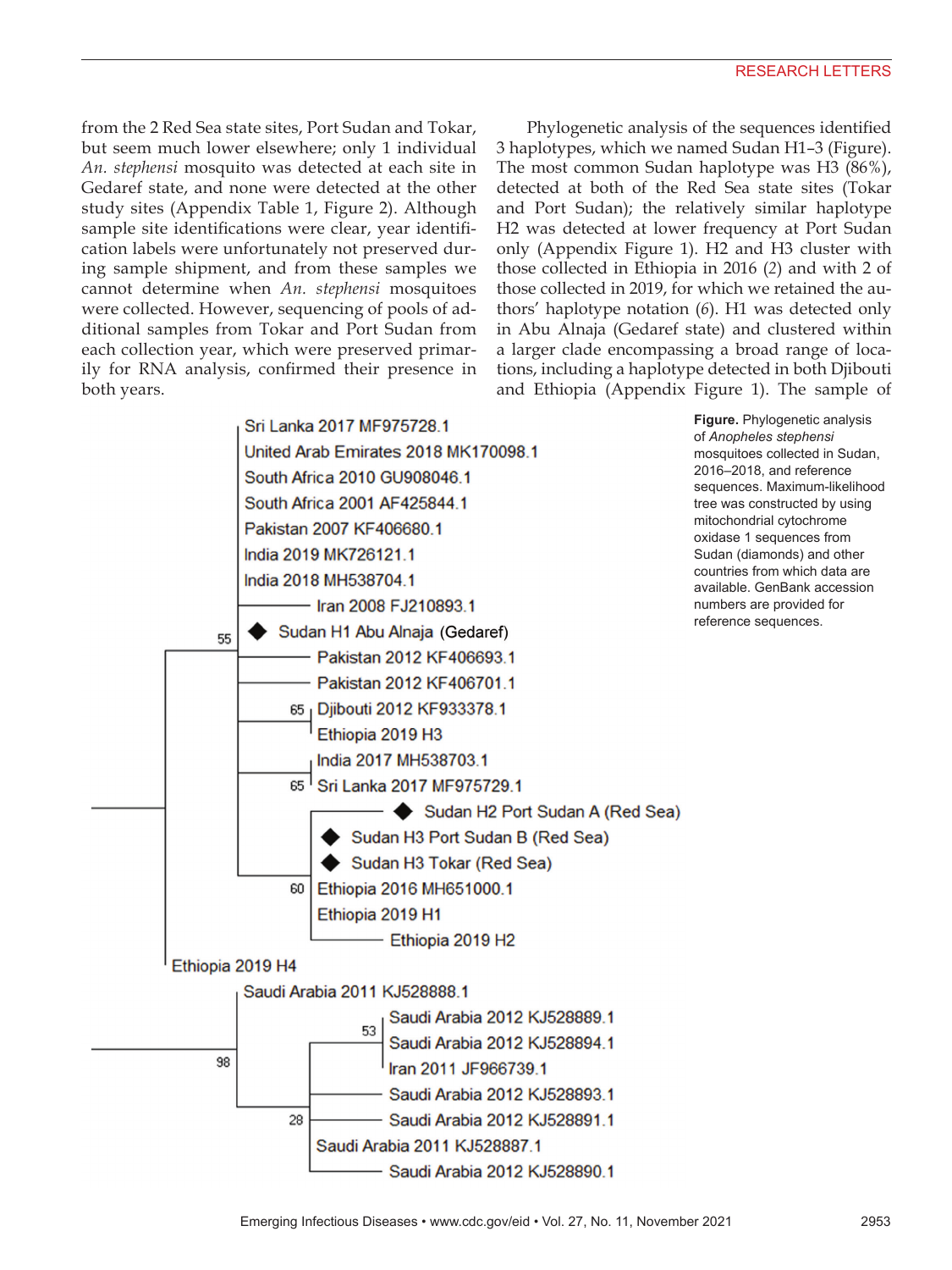from the 2 Red Sea state sites, Port Sudan and Tokar, but seem much lower elsewhere; only 1 individual *An. stephensi* mosquito was detected at each site in Gedaref state, and none were detected at the other study sites (Appendix Table 1, Figure 2). Although sample site identifications were clear, year identification labels were unfortunately not preserved during sample shipment, and from these samples we cannot determine when *An. stephensi* mosquitoes were collected. However, sequencing of pools of additional samples from Tokar and Port Sudan from each collection year, which were preserved primarily for RNA analysis, confirmed their presence in both years.

Phylogenetic analysis of the sequences identified 3 haplotypes, which we named Sudan H1–3 (Figure). The most common Sudan haplotype was H3 (86%), detected at both of the Red Sea state sites (Tokar and Port Sudan); the relatively similar haplotype H2 was detected at lower frequency at Port Sudan only (Appendix Figure 1). H2 and H3 cluster with those collected in Ethiopia in 2016 (*2*) and with 2 of those collected in 2019, for which we retained the authors' haplotype notation (*6*). H1 was detected only in Abu Alnaja (Gedaref state) and clustered within a larger clade encompassing a broad range of locations, including a haplotype detected in both Djibouti and Ethiopia (Appendix Figure 1). The sample of